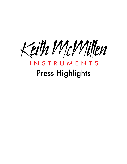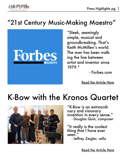

#### "21st Century Music-Making Maestro"



"Sleek, seemingly simple, musical and groundbreaking. That's Keith McMillen's world. The man has been walking the line between artist and inventor since 1979."

- Forbes.com

[Read the Article Here](http://www.forbes.com/sites/karstenstrauss/2013/07/31/21st-century-music-making-maestro/)

#### K-Bow with the Kronos Quartet



"K-Bow is an extraordi- nary and visionary invention in every sense." - Douglas Quin, composer

"It really is the coolest thing that I have ever seen."

- Jeffrey Zeigler, cello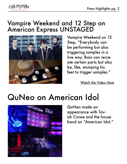

#### Vampire Weekend and 12 Step on American Express UNSTAGED



Vampire Weekend on 12 Step, "Everybody can be performing but also triggering samples in a live way. Baio can recreate certain parts but also be, like, stomping his feet to trigger samples."

[Watch the Video Here](https://www.youtube.com/watch?v=hTzgvUiUi-M)

# QuNeo on American Idol



QuNeo made an appearance with Tavish Crowe and the house band on "American Idol."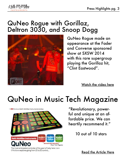

#### QuNeo Rogue with Gorillaz, Deltron 3030, and Snoop Dogg



QuNeo Rogue made an appearance at the Fader and Converse sponsored show at SXSW 2014 with this rare supergroup playing the Gorillaz hit, "Clint Eastwood".

[Watch the video here](https://www.youtube.com/watch?v=9P81eqDpdp8)

## QuNeo in Music Tech Magazine



The most anticipated controller of the year is finally here. Liam O'Mullane explores going from 2D to 3D control...

"Revolutionary, powerful and unique at an affordable price. We can heartily recommend it."

10 out of 10 stars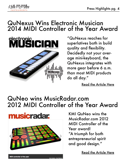

#### QuNexus Wins Electronic Musician 2014 MIDI Controller of the Year Award



"QuNexus reaches for superlatives both in build quality and flexibility. Decidedly not your average mini-keyboard, the QuNexus integrates with more gear before 6 a.m. than most MIDI products do all day."

[Read the Article Here](http://www.emusician.com/emusician/0765/review-%E2%80%93-kmi-qunexus-controller/153174)

#### QuNeo wins MusicRadar.com 2012 MIDI Controller of the Year Award



KMI QuNeo wins the MusicRadar.com 2012 MIDI Controller of the Year award! "A triumph for both entrepreneurial spirit and good design."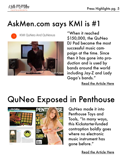

## AskMen.com says KMI is #1



KMI QuNeo And QuNexus



"When it reached \$150,000, the QuNeo DJ Pad became the most successful music campaign at the time. Since then it has gone into production and is used by bands around the world including Jay-Z and Lady Gaga's bands."

[Read the Article Here](http://www.askmen.com/top_10/entertainment/10-kickstarter-success-stories_1.html)

## QuNeo Exposed in Penthouse



QuNeo made it into Penthouse Toys and Tools, "In many ways, this Kickstarter-funded contraption boldly goes where no electronic music instrument has gone before."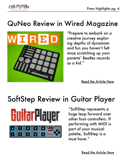

#### QuNeo Review in Wired Magazine



"Prepare to embark on a creative journey exploring depths of dynamism and fun you haven't felt since scratching up your parents' Beatles records as a kid."

[Read the Article Here](http://www.wired.com/2013/02/quneo/)

## SoftStep Review in Guitar Player



"SoftStep represents a huge leap forward over other foot controllers. If performing with MIDI is part of your musical palette, SoftStep is a must have."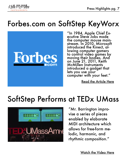

## Forbes.com on SoftStep KeyWorx



"In 1984, Apple Chief Executive Steve Jobs made<br>the computer mouse mainstream. In 2010, Microsoft<br>introduced the Kinect, allowing computer gamers to control video games by moving their bodies. And on June 21, 2011, Keith McMillen Instruments introduced a gadget that lets you use your computer with your feet."

[Read the Article Here](http://www.forbes.com/sites/briancaulfield/2011/06/21/at-last-now-you-can-control-your-computer-with-your-feet/)

#### SoftStep Performs at TEDx UMass



"Mr. Barrington improvise a series of pieces enabled by elaborate MIDI architecture which allows for free-form melodic, harmonic, and rhythmic composition."

[Watch the Video Here](https://www.youtube.com/watch?v=uLKqYsZU9LM)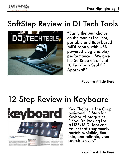

# SoftStep Review in DJ Tech Tools



"Easily the best choice on the market for light, portable and floor-based MIDI control with USB powered plug and play performance... We give the SoftStep an official DJ TechTools Seal Of Approval!"

[Read the Article Here](http://www.djtechtools.com/2011/09/27/review-softstep-foot-controller-responsive-foot-control/)

## 12 Step Review in Keyboard



Kev Choice of The Coup reviewed 12 Step for Keyboard Magazine, "If you're looking for a USB/MIDI foot controller that's supremely portable, visible, flexible, and reliable, your search is over."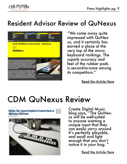

#### Resident Advisor Review of QuNexus



"We came away quite impressed with QuNexus, and it certainly has earned a place at the very top of the microkeyboard rankings. The superb accuracy and feel of the rubber pads is second-to-none among its competitors."

[Read the Article Here](http://www.residentadvisor.net/review-view.aspx?id=13522)

## CDM QuNexus Review

QuNexus: Slim, Expressive Keyboard in Exclusive Hands-on **CDM Review (S150 Street)** 



Create Digital Music blog says, "The QuNex-<br>us will be well-suited to anyone wanting a unique input that they can easily carry around. It's perfectly playable, and small and light enough that you don't notice it in your bag. "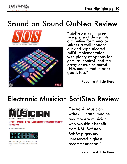

# Sound on Sound QuNeo Review





"QuNeo is an impressive piece of design: its diminutive form encapsulates a well thought out and sophisticated MIDI implementation with plenty of options for gestural control, and the array of multicoloured LEDs means that it looks good, too."

[Read the Article Here](http://www.soundonsound.com/sos/dec12/articles/keith-mcmillen-quneo.htm)

#### Electronic Musician SoftStep Review



#### **KEITH MCMILLEN INSTRUMENTS SOFTSTEP REVIEW**

By Marty Cutler | April 1, 2011



FIG. 1: KMI Softstep"s bank of ten Keys can send independent streams MIDI or OSC data from each pedal

Electronic Musician writes, "I can't imagine any modern musician who wouldn't benefit from KMI Softstep. SoftStep gets my unreserved highest recommendation."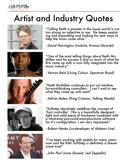

# Artist and Industry Quotes











"Calling Keith a pioneer in the music world is not too strong an adjective to use. He keeps exploring and expanding and looking for new ways to help the music come alive."

- David Harrington (violinist, Kronos Quartet)

"One of the most telling things about Keith Mc-Millen and his success is that so much of what he first came up with is now fully integrated into the music industry".

- Vernon Reid (Living Colour, Spectrum Road)

"Keith McMillen continues to put out intuitive, forward-thinking controllers. I can't wait to see what they come up with next!"

- Adrian Belew (King Crimson, Talking Heads)

"Softstep absolutely redefines the concept of 'foot controller'. This is a beautifully designed, light and solid piece of hardware combined with a what-ever-you-could-want-plus-more software for it's configuration. I am very impressed."

- Robert Henke (co-developer of Ableton Live)

"I've been working with pedals for many years now and the KMI SoftStep is definitely a dream come true!"

- John Paul Jones (bassist, Led Zeppelin)